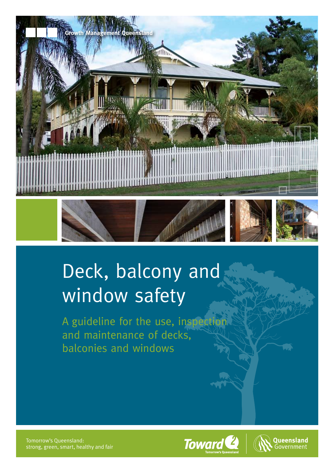

# Deck, balcony and window safety

A guideline for the use, inspection and maintenance of decks, balconies and windows

Tomorrow's Queensland: strong, green, smart, healthy and fair



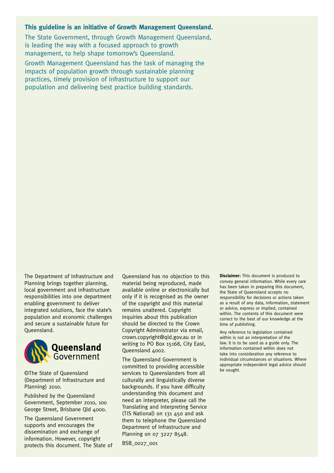#### **This guideline is an initiative of Growth Management Queensland.**

The State Government, through Growth Management Queensland, is leading the way with a focused approach to growth management, to help shape tomorrow's Queensland.

Growth Management Queensland has the task of managing the impacts of population growth through sustainable planning practices, timely provision of infrastructure to support our population and delivering best practice building standards.

The Department of Infrastructure and Planning brings together planning, local government and infrastructure responsibilities into one department enabling government to deliver integrated solutions, face the state's population and economic challenges and secure a sustainable future for Queensland.



©The State of Queensland (Department of Infrastructure and Planning) 2010.

Published by the Queensland Government, September 2010, 100 George Street, Brisbane Old 4000.

The Queensland Government supports and encourages the dissemination and exchange of information. However, copyright protects this document. The State of Queensland has no objection to this material being reproduced, made available online or electronically but only if it is recognised as the owner of the copyright and this material remains unaltered. Copyright inquiries about this publication should be directed to the Crown Copyright Administrator via email, crown.copyright@qld.gov.au or in writing to PO Box 15168, City East, Queensland 4002.

The Queensland Government is committed to providing accessible services to Queenslanders from all culturally and linguistically diverse backgrounds. If you have difficulty understanding this document and need an interpreter, please call the Translating and Interpreting Service (TIS National) on 131 450 and ask them to telephone the Queensland Department of Infrastructure and Planning on 07 3227 8548.

BSB\_0027\_001

**Disclaimer:** This document is produced to convey general information. While every care has been taken in preparing this document, the State of Queensland accepts no responsibility for decisions or actions taken as a result of any data, information, statement or advice, express or implied, contained within. The contents of this document were correct to the best of our knowledge at the time of publishing.

Any reference to legislation contained within is not an interpretation of the law. It is to be used as a guide only. The information contained within does not take into consideration any reference to individual circumstances or situations. Where appropriate independent legal advice should be sought.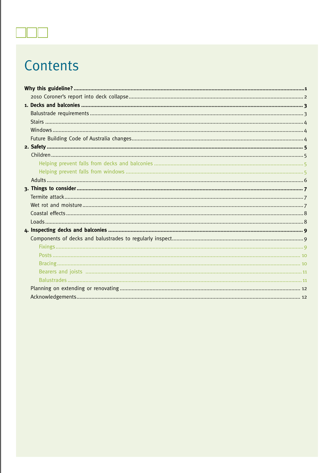# Contents

 $\blacksquare$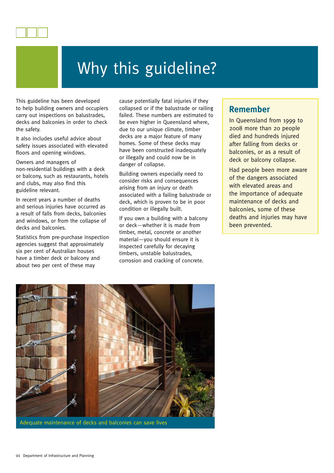

This guideline has been developed to help building owners and occupiers carry out inspections on balustrades, decks and balconies in order to check the safety.

It also includes useful advice about safety issues associated with elevated floors and opening windows.

Owners and managers of non-residential buildings with a deck or balcony, such as restaurants, hotels and clubs, may also find this guideline relevant.

In recent years a number of deaths and serious injuries have occurred as a result of falls from decks, balconies and windows, or from the collapse of decks and balconies.

Statistics from pre-purchase inspection agencies suggest that approximately six per cent of Australian houses have a timber deck or balcony and about two per cent of these may

cause potentially fatal injuries if they collapsed or if the balustrade or railing failed. These numbers are estimated to be even higher in Queensland where, due to our unique climate, timber decks are a major feature of many homes. Some of these decks may have been constructed inadequately or illegally and could now be in danger of collapse.

Building owners especially need to consider risks and consequences arising from an injury or death associated with a failing balustrade or deck, which is proven to be in poor condition or illegally built.

If you own a building with a balcony or deck—whether it is made from timber, metal, concrete or another material—you should ensure it is inspected carefully for decaying timbers, unstable balustrades, corrosion and cracking of concrete.

#### **Remember**

In Queensland from 1999 to 2008 more than 20 people died and hundreds injured after falling from decks or balconies, or as a result of deck or balcony collapse.

Had people been more aware of the dangers associated with elevated areas and the importance of adequate maintenance of decks and balconies, some of these deaths and injuries may have been prevented.



Adequate maintenance of decks and balconies can save lives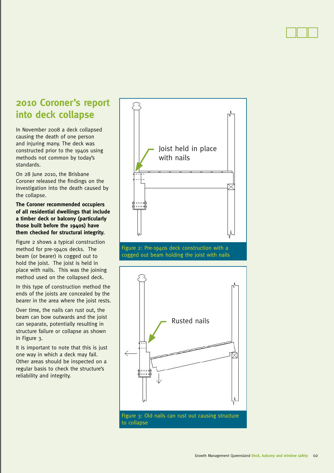# **2010 Coroner's report into deck collapse**

In November 2008 a deck collapsed causing the death of one person and injuring many. The deck was constructed prior to the 1940s using methods not common by today's standards.

On 28 June 2010, the Brisbane Coroner released the findings on the investigation into the death caused by the collapse.

**The Coroner recommended occupiers of all residential dwellings that include a timber deck or balcony (particularly those built before the 1940s) have them checked for structural integrity.** 

Figure 2 shows a typical construction method for pre-1940s decks. The beam (or bearer) is cogged out to hold the joist. The joist is held in place with nails. This was the joining method used on the collapsed deck.

In this type of construction method the ends of the joists are concealed by the bearer in the area where the joist rests.

Over time, the nails can rust out, the beam can bow outwards and the joist can separate, potentially resulting in structure failure or collapse as shown in Figure 3.

It is important to note that this is just one way in which a deck may fail. Other areas should be inspected on a regular basis to check the structure's reliability and integrity.



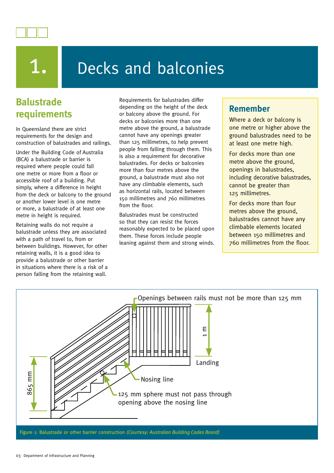

# Decks and balconies

# **Balustrade requirements**

In Queensland there are strict requirements for the design and construction of balustrades and railings.

Under the Building Code of Australia (BCA) a balustrade or barrier is required where people could fall one metre or more from a floor or accessible roof of a building. Put simply, where a difference in height from the deck or balcony to the ground or another lower level is one metre or more, a balustrade of at least one metre in height is required.

Retaining walls do not require a balustrade unless they are associated with a path of travel to, from or between buildings. However, for other retaining walls, it is a good idea to provide a balustrade or other barrier in situations where there is a risk of a person falling from the retaining wall.

Requirements for balustrades differ depending on the height of the deck or balcony above the ground. For decks or balconies more than one metre above the ground, a balustrade cannot have any openings greater than 125 millimetres, to help prevent people from falling through them. This is also a requirement for decorative balustrades. For decks or balconies more than four metres above the ground, a balustrade must also not have any climbable elements, such as horizontal rails, located between 150 millimetres and 760 millimetres from the floor.

Balustrades must be constructed so that they can resist the forces reasonably expected to be placed upon them. These forces include people leaning against them and strong winds.

### **Remember**

Where a deck or balcony is one metre or higher above the ground balustrades need to be at least one metre high.

For decks more than one metre above the ground, openings in balustrades, including decorative balustrades, cannot be greater than 125 millimetres.

For decks more than four metres above the ground, balustrades cannot have any climbable elements located between 150 millimetres and 760 millimetres from the floor.

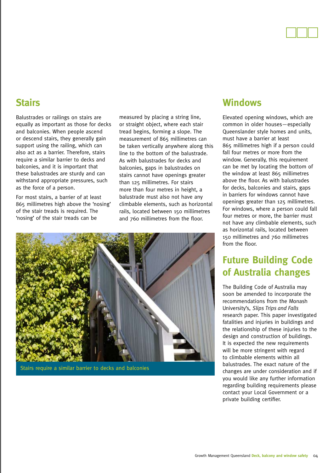# **Stairs**

Balustrades or railings on stairs are equally as important as those for decks and balconies. When people ascend or descend stairs, they generally gain support using the railing, which can also act as a barrier. Therefore, stairs require a similar barrier to decks and balconies, and it is important that these balustrades are sturdy and can withstand appropriate pressures, such as the force of a person.

For most stairs, a barrier of at least 865 millimetres high above the 'nosing' of the stair treads is required. The 'nosing' of the stair treads can be

measured by placing a string line, or straight object, where each stair tread begins, forming a slope. The measurement of 865 millimetres can be taken vertically anywhere along this line to the bottom of the balustrade. As with balustrades for decks and balconies, gaps in balustrades on stairs cannot have openings greater than 125 millimetres. For stairs more than four metres in height, a balustrade must also not have any climbable elements, such as horizontal rails, located between 150 millimetres and 760 millimetres from the floor.



Stairs require a similar barrier to decks and balconies

### **Windows**

Elevated opening windows, which are common in older houses—especially Queenslander style homes and units, must have a barrier at least 865 millimetres high if a person could fall four metres or more from the window. Generally, this requirement can be met by locating the bottom of the window at least 865 millimetres above the floor. As with balustrades for decks, balconies and stairs, gaps in barriers for windows cannot have openings greater than 125 millimetres. For windows, where a person could fall four metres or more, the barrier must not have any climbable elements, such as horizontal rails, located between 150 millimetres and 760 millimetres from the floor.

# **Future Building Code of Australia changes**

The Building Code of Australia may soon be amended to incorporate the recommendations from the Monash University's, *Slips Trips and Falls* research paper. This paper investigated fatalities and injuries in buildings and the relationship of these injuries to the design and construction of buildings. It is expected the new requirements will be more stringent with regard to climbable elements within all balustrades. The exact nature of the changes are under consideration and if you would like any further information regarding building requirements please contact your Local Government or a private building certifier.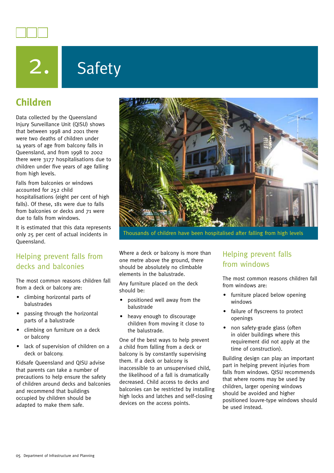

# 2. Safety

# **Children**

Data collected by the Queensland Injury Surveillance Unit (QISU) shows that between 1998 and 2001 there were two deaths of children under 14 years of age from balcony falls in Queensland, and from 1998 to 2002 there were 3177 hospitalisations due to children under five years of age falling from high levels.

Falls from balconies or windows accounted for 252 child hospitalisations (eight per cent of high falls). Of these, 181 were due to falls from balconies or decks and 71 were due to falls from windows.

It is estimated that this data represents only 25 per cent of actual incidents in Queensland.

#### Helping prevent falls from decks and balconies

The most common reasons children fall from a deck or balcony are:

- climbing horizontal parts of balustrades
- passing through the horizontal parts of a balustrade
- climbing on furniture on a deck or balcony
- lack of supervision of children on a deck or balcony.

Kidsafe Queensland and QISU advise that parents can take a number of precautions to help ensure the safety of children around decks and balconies and recommend that buildings occupied by children should be adapted to make them safe.



Thousands of children have been hospitalised after falling from high levels

Where a deck or balcony is more than one metre above the ground, there should be absolutely no climbable elements in the balustrade.

Any furniture placed on the deck should be:

- positioned well away from the balustrade
- heavy enough to discourage children from moving it close to the balustrade.

One of the best ways to help prevent a child from falling from a deck or balcony is by constantly supervising them. If a deck or balcony is inaccessible to an unsupervised child, the likelihood of a fall is dramatically decreased. Child access to decks and balconies can be restricted by installing high locks and latches and self-closing devices on the access points.

### Helping prevent falls from windows

The most common reasons children fall from windows are:

- furniture placed below opening windows
- failure of flyscreens to protect openings
- non safety-grade glass (often in older buildings where this requirement did not apply at the time of construction).

Building design can play an important part in helping prevent injuries from falls from windows. QISU recommends that where rooms may be used by children, larger opening windows should be avoided and higher positioned louvre-type windows should be used instead.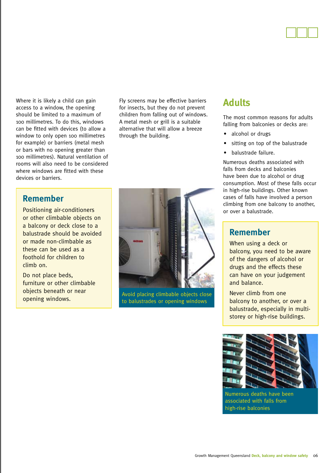

Where it is likely a child can gain access to a window, the opening should be limited to a maximum of 100 millimetres. To do this, windows can be fitted with devices (to allow a window to only open 100 millimetres for example) or barriers (metal mesh or bars with no opening greater than 100 millimetres). Natural ventilation of rooms will also need to be considered where windows are fitted with these devices or barriers.

Fly screens may be effective barriers for insects, but they do not prevent children from falling out of windows. A metal mesh or grill is a suitable alternative that will allow a breeze through the building.

### **Remember**

Positioning air-conditioners or other climbable objects on a balcony or deck close to a balustrade should be avoided or made non-climbable as these can be used as a foothold for children to climb on.

Do not place beds, furniture or other climbable objects beneath or near opening windows.



Avoid placing climbable objects close to balustrades or opening windows

## **Adults**

The most common reasons for adults falling from balconies or decks are:

- alcohol or drugs
- sitting on top of the balustrade
- balustrade failure.

Numerous deaths associated with falls from decks and balconies have been due to alcohol or drug consumption. Most of these falls occur in high-rise buildings. Other known cases of falls have involved a person climbing from one balcony to another, or over a balustrade.

#### **Remember**

When using a deck or balcony, you need to be aware of the dangers of alcohol or drugs and the effects these can have on your judgement and balance.

Never climb from one balcony to another, or over a balustrade, especially in multistorey or high-rise buildings.



Numerous deaths have been associated with falls from high-rise balconies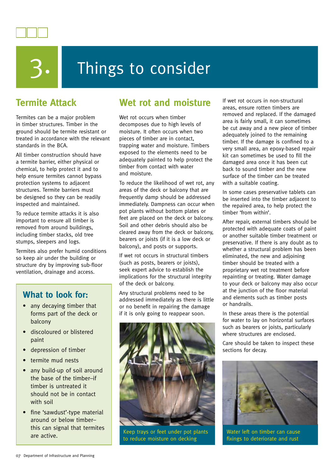



# Things to consider

# **Termite Attack**

Termites can be a major problem in timber structures. Timber in the ground should be termite resistant or treated in accordance with the relevant standards in the BCA.

All timber construction should have a termite barrier, either physical or chemical, to help protect it and to help ensure termites cannot bypass protection systems to adjacent structures. Termite barriers must be designed so they can be readily inspected and maintained.

To reduce termite attacks it is also important to ensure all timber is removed from around buildings, including timber stacks, old tree stumps, sleepers and logs.

Termites also prefer humid conditions so keep air under the building or structure dry by improving sub-floor ventilation, drainage and access.

#### **What to look for:**

- any decaying timber that forms part of the deck or balcony
- discoloured or blistered paint
- depression of timber
- termite mud nests
- any build-up of soil around the base of the timber–if timber is untreated it should not be in contact with soil
- fine 'sawdust'-type material around or below timber– this can signal that termites

# **Wet rot and moisture**

Wet rot occurs when timber decomposes due to high levels of moisture. It often occurs when two pieces of timber are in contact, trapping water and moisture. Timbers exposed to the elements need to be adequately painted to help protect the timber from contact with water and moisture.

To reduce the likelihood of wet rot, any areas of the deck or balcony that are frequently damp should be addressed immediately. Dampness can occur when pot plants without bottom plates or feet are placed on the deck or balcony. Soil and other debris should also be cleared away from the deck or balcony, bearers or joists (if it is a low deck or balcony), and posts or supports.

If wet rot occurs in structural timbers (such as posts, bearers or joists), seek expert advice to establish the implications for the structural integrity of the deck or balcony.

Any structural problems need to be addressed immediately as there is little or no benefit in repairing the damage if it is only going to reappear soon.



are active.<br>
Reep trays or feet under pot plants<br>  $\begin{array}{ccc}\n\hline\n\text{Keep trays or feet under pot plants}\n\end{array}$ to reduce moisture on decking

If wet rot occurs in non-structural areas, ensure rotten timbers are removed and replaced. If the damaged area is fairly small, it can sometimes be cut away and a new piece of timber adequately joined to the remaining timber. If the damage is confined to a very small area, an epoxy-based repair kit can sometimes be used to fill the damaged area once it has been cut back to sound timber and the new surface of the timber can be treated with a suitable coating.

In some cases preservative tablets can be inserted into the timber adjacent to the repaired area, to help protect the timber 'from within'.

After repair, external timbers should be protected with adequate coats of paint or another suitable timber treatment or preservative. If there is any doubt as to whether a structural problem has been eliminated, the new and adjoining timber should be treated with a proprietary wet rot treatment before repainting or treating. Water damage to your deck or balcony may also occur at the junction of the floor material and elements such as timber posts or handrails.

In these areas there is the potential for water to lay on horizontal surfaces such as bearers or joists, particularly where structures are enclosed.

Care should be taken to inspect these sections for decay.



Water left on timber can cause fixings to deteriorate and rust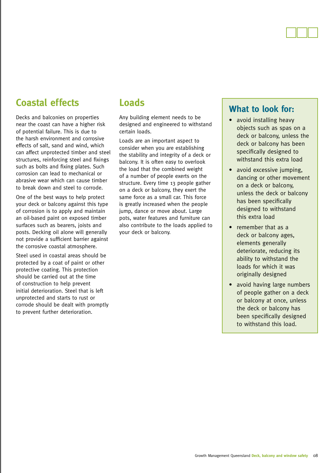# **Coastal effects**

Decks and balconies on properties near the coast can have a higher risk of potential failure. This is due to the harsh environment and corrosive effects of salt, sand and wind, which can affect unprotected timber and steel structures, reinforcing steel and fixings such as bolts and fixing plates. Such corrosion can lead to mechanical or abrasive wear which can cause timber to break down and steel to corrode.

One of the best ways to help protect your deck or balcony against this type of corrosion is to apply and maintain an oil-based paint on exposed timber surfaces such as bearers, joists and posts. Decking oil alone will generally not provide a sufficient barrier against the corrosive coastal atmosphere.

Steel used in coastal areas should be protected by a coat of paint or other protective coating. This protection should be carried out at the time of construction to help prevent initial deterioration. Steel that is left unprotected and starts to rust or corrode should be dealt with promptly to prevent further deterioration.

## **Loads**

Any building element needs to be designed and engineered to withstand certain loads.

Loads are an important aspect to consider when you are establishing the stability and integrity of a deck or balcony. It is often easy to overlook the load that the combined weight of a number of people exerts on the structure. Every time 13 people gather on a deck or balcony, they exert the same force as a small car. This force is greatly increased when the people jump, dance or move about. Large pots, water features and furniture can also contribute to the loads applied to your deck or balcony.

#### **What to look for:**

- avoid installing heavy objects such as spas on a deck or balcony, unless the deck or balcony has been specifically designed to withstand this extra load
- avoid excessive jumping, dancing or other movement on a deck or balcony, unless the deck or balcony has been specifically designed to withstand this extra load
- remember that as a deck or balcony ages, elements generally deteriorate, reducing its ability to withstand the loads for which it was originally designed
- avoid having large numbers of people gather on a deck or balcony at once, unless the deck or balcony has been specifically designed to withstand this load.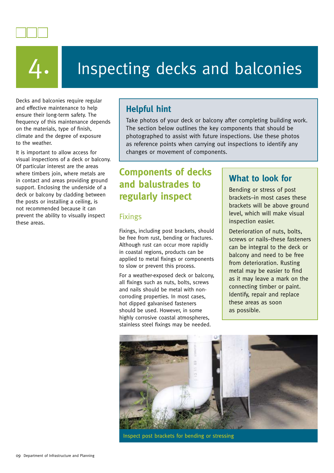



# Inspecting decks and balconies

Decks and balconies require regular and effective maintenance to help ensure their long-term safety. The frequency of this maintenance depends on the materials, type of finish, climate and the degree of exposure to the weather.

It is important to allow access for visual inspections of a deck or balcony. Of particular interest are the areas where timbers join, where metals are in contact and areas providing ground support. Enclosing the underside of a deck or balcony by cladding between the posts or installing a ceiling, is not recommended because it can prevent the ability to visually inspect these areas.

# **Helpful hint**

Take photos of your deck or balcony after completing building work. The section below outlines the key components that should be photographed to assist with future inspections. Use these photos as reference points when carrying out inspections to identify any changes or movement of components.

# **Components of decks and balustrades to regularly inspect**

#### Fixings

Fixings, including post brackets, should be free from rust, bending or fractures. Although rust can occur more rapidly in coastal regions, products can be applied to metal fixings or components to slow or prevent this process.

For a weather-exposed deck or balcony, all fixings such as nuts, bolts, screws and nails should be metal with noncorroding properties. In most cases, hot dipped galvanised fasteners should be used. However, in some highly corrosive coastal atmospheres, stainless steel fixings may be needed.

### **What to look for**

Bending or stress of post brackets–in most cases these brackets will be above ground level, which will make visual inspection easier.

Deterioration of nuts, bolts, screws or nails–these fasteners can be integral to the deck or balcony and need to be free from deterioration. Rusting metal may be easier to find as it may leave a mark on the connecting timber or paint. Identify, repair and replace these areas as soon as possible.



Inspect post brackets for bending or stressing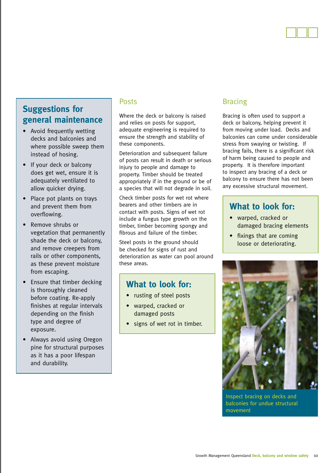

## **Suggestions for general maintenance**

- Avoid frequently wetting decks and balconies and where possible sweep them instead of hosing.
- If your deck or balcony does get wet, ensure it is adequately ventilated to allow quicker drying.
- Place pot plants on trays and prevent them from overflowing.
- Remove shrubs or vegetation that permanently shade the deck or balcony, and remove creepers from rails or other components, as these prevent moisture from escaping.
- Ensure that timber decking is thoroughly cleaned before coating. Re-apply finishes at regular intervals depending on the finish type and degree of exposure.
- Always avoid using Oregon pine for structural purposes as it has a poor lifespan and durability.

#### Posts

Where the deck or balcony is raised and relies on posts for support, adequate engineering is required to ensure the strength and stability of these components.

Deterioration and subsequent failure of posts can result in death or serious injury to people and damage to property. Timber should be treated appropriately if in the ground or be of a species that will not degrade in soil.

Check timber posts for wet rot where bearers and other timbers are in contact with posts. Signs of wet rot include a fungus type growth on the timber, timber becoming spongy and fibrous and failure of the timber.

Steel posts in the ground should be checked for signs of rust and deterioration as water can pool around these areas.

#### **What to look for:**

- rusting of steel posts
- warped, cracked or damaged posts
- signs of wet rot in timber.

#### Bracing

Bracing is often used to support a deck or balcony, helping prevent it from moving under load. Decks and balconies can come under considerable stress from swaying or twisting. If bracing fails, there is a significant risk of harm being caused to people and property. It is therefore important to inspect any bracing of a deck or balcony to ensure there has not been any excessive structural movement.

### **What to look for:**

- warped, cracked or damaged bracing elements
- fixings that are coming loose or deteriorating.



Inspect bracing on decks and balconies for undue structural movement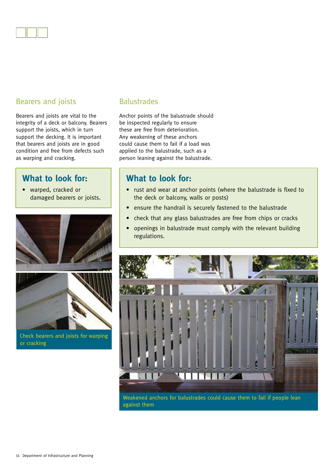#### Bearers and joists

Bearers and joists are vital to the integrity of a deck or balcony. Bearers support the joists, which in turn support the decking. It is important that bearers and joists are in good condition and free from defects such as warping and cracking.

#### **What to look for:**

• warped, cracked or damaged bearers or joists.





Check bearers and joists for warping or cracking

#### **Balustrades**

Anchor points of the balustrade should be inspected regularly to ensure these are free from deterioration. Any weakening of these anchors could cause them to fail if a load was applied to the balustrade, such as a person leaning against the balustrade.

#### **What to look for:**

- rust and wear at anchor points (where the balustrade is fixed to the deck or balcony, walls or posts)
- ensure the handrail is securely fastened to the balustrade
- check that any glass balustrades are free from chips or cracks
- openings in balustrade must comply with the relevant building regulations.



Weakened anchors for balustrades could cause them to fail if people lean against them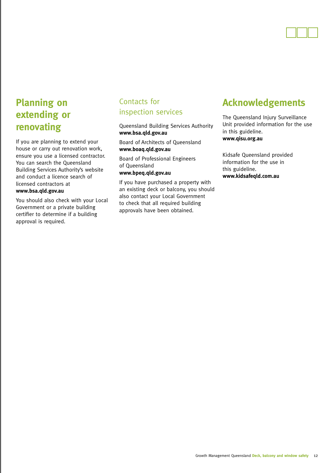

# **Planning on extending or renovating**

If you are planning to extend your house or carry out renovation work, ensure you use a licensed contractor. You can search the Queensland Building Services Authority's website and conduct a licence search of licensed contractors at **www.bsa.qld.gov.au**

You should also check with your Local Government or a private building certifier to determine if a building approval is required.

#### Contacts for inspection services

Queensland Building Services Authority **www.bsa.qld.gov.au**

Board of Architects of Queensland **www.boaq.qld.gov.au**

Board of Professional Engineers of Queensland

**www.bpeq.qld.gov.au**

If you have purchased a property with an existing deck or balcony, you should also contact your Local Government to check that all required building approvals have been obtained.

# **Acknowledgements**

The Queensland Injury Surveillance Unit provided information for the use in this guideline. **www.qisu.org.au**

Kidsafe Queensland provided information for the use in this guideline. **www.kidsafeqld.com.au**